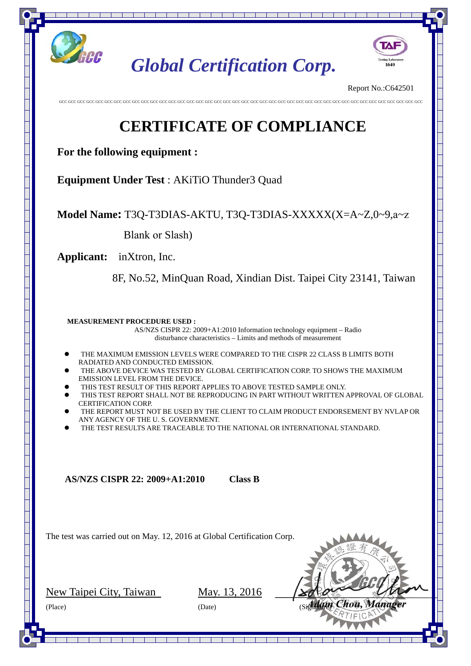

## **CERTIFICATE OF COMPLIANCE**

| Applicant                        |                | $:$ inXtron, Inc.                                                 |                          |  |
|----------------------------------|----------------|-------------------------------------------------------------------|--------------------------|--|
| Address                          | $\ddot{\cdot}$ | 8F, No.52, MinQuan Road, Xindian Dist.                            |                          |  |
|                                  |                | Taipei City 23141, Taiwan                                         |                          |  |
| <b>EUT</b>                       | $\ddot{\cdot}$ | <b>AKiTiO Thunder3 Quad</b>                                       |                          |  |
| Model No.                        | $\ddot{\cdot}$ | T3Q-T3DIAS-AKTU<br>T3Q-T3DIAS-XXXXX(X=A~Z,0~9,a~z Blank or Slash) |                          |  |
| <b>Trade Name</b>                |                | : AKiTiO                                                          |                          |  |
| <b>Test Standards:</b>           |                |                                                                   |                          |  |
| <b>EMI: CLASS B</b>              |                |                                                                   | EMS:                     |  |
| EN55022:2010                     |                |                                                                   | EN55024:2010             |  |
| EN61000-3-2:2006+A1:2009+A2:2009 |                |                                                                   | EN61000-4-2:2009         |  |
| EN61000-3-3:2013                 |                |                                                                   | EN61000-4-3:2006+A2:2010 |  |
|                                  |                |                                                                   | EN61000-4-4:2012         |  |
|                                  |                |                                                                   | EN61000-4-5:2006         |  |
|                                  |                |                                                                   | EN61000-4-6:2014         |  |
|                                  |                |                                                                   | EN61000-4-8:2010         |  |
|                                  |                |                                                                   | EN61000-4-11:2004        |  |

**According to applicants declaration this EUT is a Class B product.** 

 The above equipment was tested by Global Certification Corp. For compliance with the requirements set forth in the EUROPEAN COUNCIL Directive 2014/30/EU and the technical standards mentioned above. The results of testing in this report apply only to the product/system, which was tested.

The test was carried out on May. 12, 2016 and this test report shall not be reproducing in part without written approval of Global Certification Corp.

**Approved By:** 

| Adam Chou, Manager |  |
|--------------------|--|
|                    |  |

 **Issued Date: May. 13, 2016**